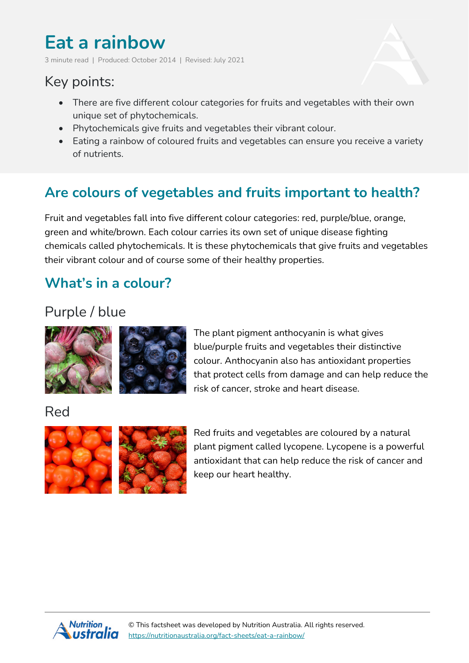# **Eat a rainbow**

3 minute read | Produced: October 2014 | Revised: July 2021

# Key points:

- There are five different colour categories for fruits and vegetables with their own unique set of phytochemicals.
- Phytochemicals give fruits and vegetables their vibrant colour.
- Eating a rainbow of coloured fruits and vegetables can ensure you receive a variety of nutrients.

# **Are colours of vegetables and fruits important to health?**

Fruit and vegetables fall into five different colour categories: red, purple/blue, orange, green and white/brown. Each colour carries its own set of unique disease fighting chemicals called phytochemicals. It is these phytochemicals that give fruits and vegetables their vibrant colour and of course some of their healthy properties.

### **What's in a colour?**

# Purple / blue



The plant pigment anthocyanin is what gives blue/purple fruits and vegetables their distinctive colour. Anthocyanin also has antioxidant properties that protect cells from damage and can help reduce the risk of cancer, stroke and heart disease.

#### Red



Red fruits and vegetables are coloured by a natural plant pigment called lycopene. Lycopene is a powerful antioxidant that can help reduce the risk of cancer and keep our heart healthy.

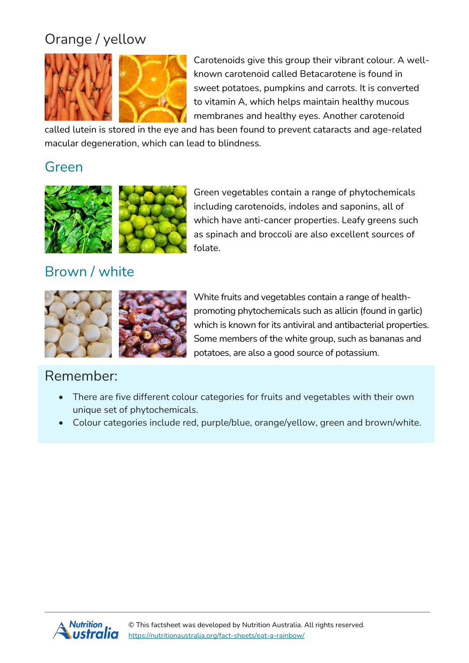# Orange / yellow



Carotenoids give this group their vibrant colour. A wellknown carotenoid called Betacarotene is found in sweet potatoes, pumpkins and carrots. It is converted to vitamin A, which helps maintain healthy mucous membranes and healthy eyes. Another carotenoid

called lutein is stored in the eye and has been found to prevent cataracts and age-related macular degeneration, which can lead to blindness.

#### Green



Green vegetables contain a range of phytochemicals including carotenoids, indoles and saponins, all of which have anti-cancer properties. Leafy greens such as spinach and broccoli are also excellent sources of folate.

# Brown / white



White fruits and vegetables contain a range of healthpromoting phytochemicals such as allicin (found in garlic) which is known for its antiviral and antibacterial properties. Some members of the white group, such as bananas and potatoes, are also a good source of potassium.

#### Remember:

- There are five different colour categories for fruits and vegetables with their own unique set of phytochemicals.
- Colour categories include red, purple/blue, orange/yellow, green and brown/white.

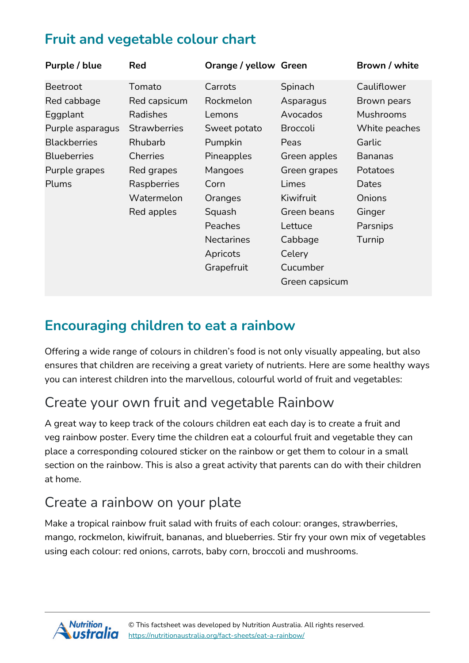# **Fruit and vegetable colour chart**

| Purple / blue       | <b>Red</b>          | <b>Orange / yellow Green</b> |                 | Brown / white    |
|---------------------|---------------------|------------------------------|-----------------|------------------|
| Beetroot            | Tomato              | Carrots                      | Spinach         | Cauliflower      |
| Red cabbage         | Red capsicum        | Rockmelon                    | Asparagus       | Brown pears      |
| Eggplant            | Radishes            | Lemons                       | Avocados        | <b>Mushrooms</b> |
| Purple asparagus    | <b>Strawberries</b> | Sweet potato                 | <b>Broccoli</b> | White peaches    |
| <b>Blackberries</b> | Rhubarb             | Pumpkin                      | Peas            | Garlic           |
| <b>Blueberries</b>  | <b>Cherries</b>     | Pineapples                   | Green apples    | <b>Bananas</b>   |
| Purple grapes       | Red grapes          | Mangoes                      | Green grapes    | Potatoes         |
| Plums               | Raspberries         | Corn                         | Limes           | Dates            |
|                     | Watermelon          | Oranges                      | Kiwifruit       | Onions           |
|                     | Red apples          | Squash                       | Green beans     | Ginger           |
|                     |                     | Peaches                      | Lettuce         | Parsnips         |
|                     |                     | <b>Nectarines</b>            | Cabbage         | Turnip           |
|                     |                     | Apricots                     | Celery          |                  |
|                     |                     | Grapefruit                   | Cucumber        |                  |
|                     |                     |                              | Green capsicum  |                  |

# **Encouraging children to eat a rainbow**

Offering a wide range of colours in children's food is not only visually appealing, but also ensures that children are receiving a great variety of nutrients. Here are some healthy ways you can interest children into the marvellous, colourful world of fruit and vegetables:

# Create your own fruit and vegetable Rainbow

A great way to keep track of the colours children eat each day is to create a fruit and veg rainbow poster. Every time the children eat a colourful fruit and vegetable they can place a corresponding coloured sticker on the rainbow or get them to colour in a small section on the rainbow. This is also a great activity that parents can do with their children at home.

# Create a rainbow on your plate

Make a tropical rainbow fruit salad with fruits of each colour: oranges, strawberries, mango, rockmelon, kiwifruit, bananas, and blueberries. Stir fry your own mix of vegetables using each colour: red onions, carrots, baby corn, broccoli and mushrooms.